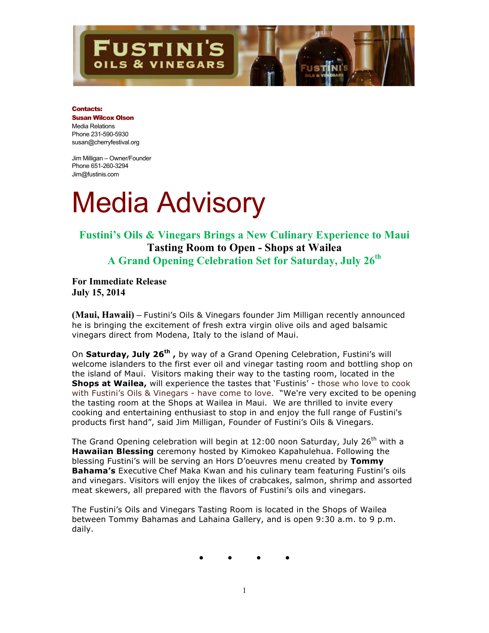## **STINI'S S & VINEGARS**

#### Contacts:

### Susan Wilcox Olson Media Relations Phone 231-590-5930 susan@cherryfestival.org

Jim Milligan – Owner/Founder Phone 651-260-3294 Jim@fustinis.com

# Media Advisory

### **Fustini's Oils & Vinegars Brings a New Culinary Experience to Maui Tasting Room to Open - Shops at Wailea A Grand Opening Celebration Set for Saturday, July 26th**

**For Immediate Release July 15, 2014**

**(Maui, Hawaii) –** Fustini's Oils & Vinegars founder Jim Milligan recently announced he is bringing the excitement of fresh extra virgin olive oils and aged balsamic vinegars direct from Modena, Italy to the island of Maui.

On **Saturday, July 26th ,** by way of a Grand Opening Celebration, Fustini's will welcome islanders to the first ever oil and vinegar tasting room and bottling shop on the island of Maui. Visitors making their way to the tasting room, located in the **Shops at Wailea,** will experience the tastes that 'Fustinis' - those who love to cook with Fustini's Oils & Vinegars - have come to love. "We're very excited to be opening the tasting room at the Shops at Wailea in Maui. We are thrilled to invite every cooking and entertaining enthusiast to stop in and enjoy the full range of Fustini's products first hand", said Jim Milligan, Founder of Fustini's Oils & Vinegars.

The Grand Opening celebration will begin at 12:00 noon Saturday, July 26<sup>th</sup> with a **Hawaiian Blessing** ceremony hosted by Kimokeo Kapahulehua. Following the blessing Fustini's will be serving an Hors D'oeuvres menu created by **Tommy Bahama's** Executive Chef Maka Kwan and his culinary team featuring Fustini's oils and vinegars. Visitors will enjoy the likes of crabcakes, salmon, shrimp and assorted meat skewers, all prepared with the flavors of Fustini's oils and vinegars.

The Fustini's Oils and Vinegars Tasting Room is located in the Shops of Wailea between Tommy Bahamas and Lahaina Gallery, and is open 9:30 a.m. to 9 p.m. daily.

**● ● ● ●**